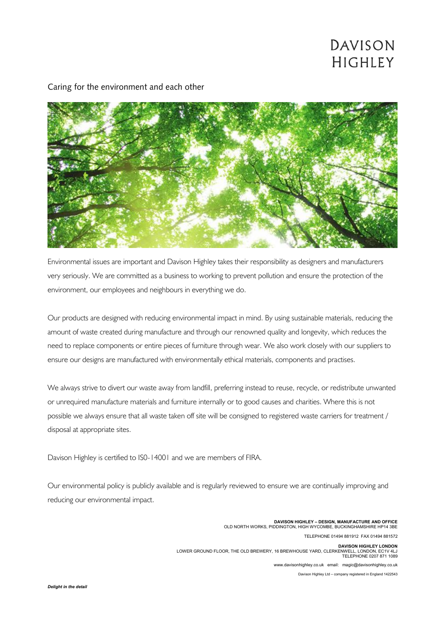## DAVISON **HIGHLEY**



Caring for the environment and each other

Environmental issues are important and Davison Highley takes their responsibility as designers and manufacturers very seriously. We are committed as a business to working to prevent pollution and ensure the protection of the environment, our employees and neighbours in everything we do.

Our products are designed with reducing environmental impact in mind. By using sustainable materials, reducing the amount of waste created during manufacture and through our renowned quality and longevity, which reduces the need to replace components or entire pieces of furniture through wear. We also work closely with our suppliers to ensure our designs are manufactured with environmentally ethical materials, components and practises.

We always strive to divert our waste away from landfill, preferring instead to reuse, recycle, or redistribute unwanted or unrequired manufacture materials and furniture internally or to good causes and charities. Where this is not possible we always ensure that all waste taken off site will be consigned to registered waste carriers for treatment / disposal at appropriate sites.

Davison Highley is certified to IS0-14001 and we are members of FIRA.

Our environmental policy is publicly available and is regularly reviewed to ensure we are continually improving and reducing our environmental impact.

> **DAVISON HIGHLEY – DESIGN, MANUFACTURE AND OFFICE** OLD NORTH WORKS, PIDDINGTON, HIGH WYCOMBE, BUCKINGHAMSHIRE HP14 3BE TELEPHONE 01494 881912 FAX 01494 881572 **DAVISON HIGHLEY LONDON<br>LOWER GROUND FLOOR, THE OLD BREWERY, 16 BREWHOUSE YARD, CLERKENWELL, LONDON, EC1V 4LJ<br>TELEPHONE 0207 871 1089**

> > www.davisonhighley.co.uk email: magic@davisonhighley.co.uk

Davison Highley Ltd – company registered in England 1422543